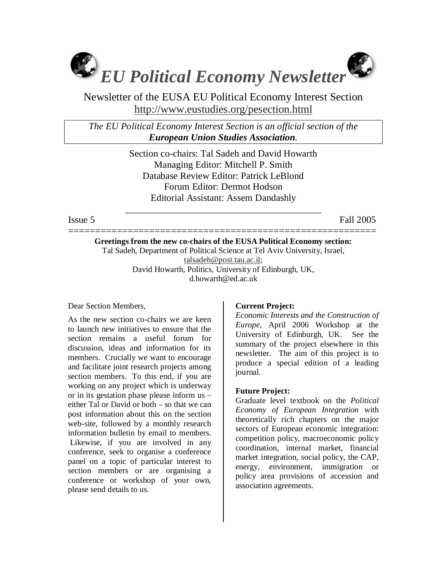

Newsletter of the EUSA EU Political Economy Interest Section http://www.eustudies.org/pesection.html

*The EU Political Economy Interest Section is an official section of the European Union Studies Association.* 

> Section co-chairs: Tal Sadeh and David Howarth Managing Editor: Mitchell P. Smith Database Review Editor: Patrick LeBlond Forum Editor: Dermot Hodson Editorial Assistant: Assem Dandashly

\_\_\_\_\_\_\_\_\_\_\_\_\_\_\_\_\_\_\_\_\_\_\_\_\_\_\_\_\_\_\_\_\_\_\_\_\_\_\_\_\_

Issue 5 Fall 2005

========================================================= **Greetings from the new co-chairs of the EUSA Political Economy section:** 

Tal Sadeh, Department of Political Science at Tel Aviv University, Israel, talsadeh@post.tau.ac.il; David Howarth, Politics, University of Edinburgh, UK,

d.howarth@ed.ac.uk

Dear Section Members,

As the new section co-chairs we are keen to launch new initiatives to ensure that the section remains a useful forum for discussion, ideas and information for its members. Crucially we want to encourage and facilitate joint research projects among section members. To this end, if you are working on any project which is underway or in its gestation phase please inform us – either Tal or David or both – so that we can post information about this on the section web-site, followed by a monthly research information bulletin by email to members. Likewise, if you are involved in any conference, seek to organise a conference panel on a topic of particular interest to section members or are organising a conference or workshop of your own, please send details to us.

## **Current Project:**

*Economic Interests and the Construction of Europe*, April 2006 Workshop at the University of Edinburgh, UK. See the summary of the project elsewhere in this newsletter. The aim of this project is to produce a special edition of a leading journal.

## **Future Project:**

Graduate level textbook on the *Political Economy of European Integration* with theoretically rich chapters on the major sectors of European economic integration: competition policy, macroeconomic policy coordination, internal market, financial market integration, social policy, the CAP, energy, environment, immigration or policy area provisions of accession and association agreements.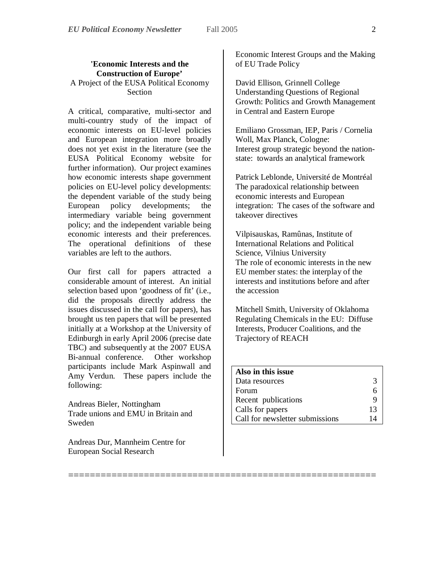## **'Economic Interests and the Construction of Europe'**  A Project of the EUSA Political Economy Section

A critical, comparative, multi-sector and multi-country study of the impact of economic interests on EU-level policies and European integration more broadly does not yet exist in the literature (see the EUSA Political Economy website for further information). Our project examines how economic interests shape government policies on EU-level policy developments: the dependent variable of the study being European policy developments; the intermediary variable being government policy; and the independent variable being economic interests and their preferences. The operational definitions of these variables are left to the authors.

Our first call for papers attracted a considerable amount of interest. An initial selection based upon 'goodness of fit' (i.e., did the proposals directly address the issues discussed in the call for papers), has brought us ten papers that will be presented initially at a Workshop at the University of Edinburgh in early April 2006 (precise date TBC) and subsequently at the 2007 EUSA Bi-annual conference. Other workshop participants include Mark Aspinwall and Amy Verdun. These papers include the following:

Andreas Bieler, Nottingham Trade unions and EMU in Britain and Sweden

Andreas Dur, Mannheim Centre for European Social Research

Economic Interest Groups and the Making of EU Trade Policy

David Ellison, Grinnell College Understanding Questions of Regional Growth: Politics and Growth Management in Central and Eastern Europe

Emiliano Grossman, IEP, Paris / Cornelia Woll, Max Planck, Cologne: Interest group strategic beyond the nationstate: towards an analytical framework

Patrick Leblonde, Université de Montréal The paradoxical relationship between economic interests and European integration: The cases of the software and takeover directives

Vilpisauskas, Ramûnas, Institute of International Relations and Political Science, Vilnius University The role of economic interests in the new EU member states: the interplay of the interests and institutions before and after the accession

Mitchell Smith, University of Oklahoma Regulating Chemicals in the EU: Diffuse Interests, Producer Coalitions, and the Trajectory of REACH

| Also in this issue              |    |
|---------------------------------|----|
| Data resources                  |    |
| Forum                           |    |
| Recent publications             |    |
| Calls for papers                | 13 |
| Call for newsletter submissions | 14 |

=========================================================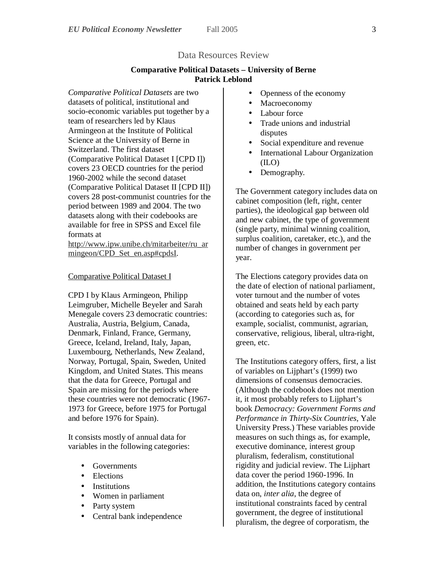# Data Resources Review

### **Comparative Political Datasets – University of Berne Patrick Leblond**

*Comparative Political Datasets* are two datasets of political, institutional and socio-economic variables put together by a team of researchers led by Klaus Armingeon at the Institute of Political Science at the University of Berne in Switzerland. The first dataset (Comparative Political Dataset I [CPD I]) covers 23 OECD countries for the period 1960-2002 while the second dataset (Comparative Political Dataset II [CPD II]) covers 28 post-communist countries for the period between 1989 and 2004. The two datasets along with their codebooks are available for free in SPSS and Excel file formats at http://www.ipw.unibe.ch/mitarbeiter/ru\_ar

mingeon/CPD\_Set\_en.asp#cpdsI.

### Comparative Political Dataset I

CPD I by Klaus Armingeon, Philipp Leimgruber, Michelle Beyeler and Sarah Menegale covers 23 democratic countries: Australia, Austria, Belgium, Canada, Denmark, Finland, France, Germany, Greece, Iceland, Ireland, Italy, Japan, Luxembourg, Netherlands, New Zealand, Norway, Portugal, Spain, Sweden, United Kingdom, and United States. This means that the data for Greece, Portugal and Spain are missing for the periods where these countries were not democratic (1967- 1973 for Greece, before 1975 for Portugal and before 1976 for Spain).

It consists mostly of annual data for variables in the following categories:

- Governments
- Elections
- Institutions
- Women in parliament
- Party system
- Central bank independence
- Openness of the economy
- Macroeconomy
- Labour force
- Trade unions and industrial disputes
- Social expenditure and revenue
- International Labour Organization (ILO)
- Demography.

The Government category includes data on cabinet composition (left, right, center parties), the ideological gap between old and new cabinet, the type of government (single party, minimal winning coalition, surplus coalition, caretaker, etc.), and the number of changes in government per year.

The Elections category provides data on the date of election of national parliament, voter turnout and the number of votes obtained and seats held by each party (according to categories such as, for example, socialist, communist, agrarian, conservative, religious, liberal, ultra-right, green, etc.

The Institutions category offers, first, a list of variables on Lijphart's (1999) two dimensions of consensus democracies. (Although the codebook does not mention it, it most probably refers to Lijphart's book *Democracy: Government Forms and Performance in Thirty-Six Countries*, Yale University Press.) These variables provide measures on such things as, for example, executive dominance, interest group pluralism, federalism, constitutional rigidity and judicial review. The Lijphart data cover the period 1960-1996. In addition, the Institutions category contains data on, *inter alia*, the degree of institutional constraints faced by central government, the degree of institutional pluralism, the degree of corporatism, the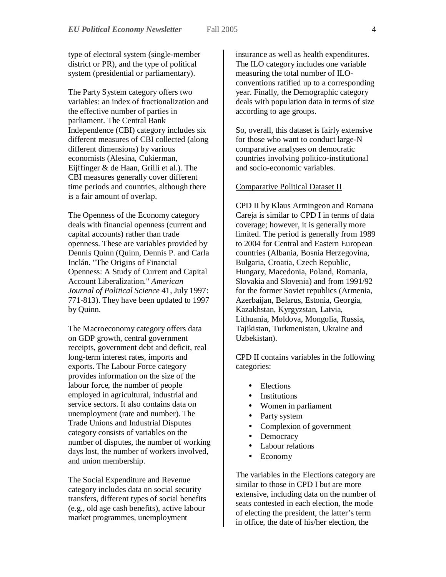type of electoral system (single-member district or PR), and the type of political system (presidential or parliamentary).

The Party System category offers two variables: an index of fractionalization and the effective number of parties in parliament. The Central Bank Independence (CBI) category includes six different measures of CBI collected (along different dimensions) by various economists (Alesina, Cukierman, Eijffinger & de Haan, Grilli et al.). The CBI measures generally cover different time periods and countries, although there is a fair amount of overlap.

The Openness of the Economy category deals with financial openness (current and capital accounts) rather than trade openness. These are variables provided by Dennis Quinn (Quinn, Dennis P. and Carla Inclán. "The Origins of Financial Openness: A Study of Current and Capital Account Liberalization." *American Journal of Political Science* 41, July 1997: 771-813). They have been updated to 1997 by Quinn.

The Macroeconomy category offers data on GDP growth, central government receipts, government debt and deficit, real long-term interest rates, imports and exports. The Labour Force category provides information on the size of the labour force, the number of people employed in agricultural, industrial and service sectors. It also contains data on unemployment (rate and number). The Trade Unions and Industrial Disputes category consists of variables on the number of disputes, the number of working days lost, the number of workers involved, and union membership.

The Social Expenditure and Revenue category includes data on social security transfers, different types of social benefits (e.g., old age cash benefits), active labour market programmes, unemployment

insurance as well as health expenditures. The ILO category includes one variable measuring the total number of ILOconventions ratified up to a corresponding year. Finally, the Demographic category deals with population data in terms of size according to age groups.

So, overall, this dataset is fairly extensive for those who want to conduct large-N comparative analyses on democratic countries involving politico-institutional and socio-economic variables.

#### Comparative Political Dataset II

CPD II by Klaus Armingeon and Romana Careja is similar to CPD I in terms of data coverage; however, it is generally more limited. The period is generally from 1989 to 2004 for Central and Eastern European countries (Albania, Bosnia Herzegovina, Bulgaria, Croatia, Czech Republic, Hungary, Macedonia, Poland, Romania, Slovakia and Slovenia) and from 1991/92 for the former Soviet republics (Armenia, Azerbaijan, Belarus, Estonia, Georgia, Kazakhstan, Kyrgyzstan, Latvia, Lithuania, Moldova, Mongolia, Russia, Tajikistan, Turkmenistan, Ukraine and Uzbekistan).

CPD II contains variables in the following categories:

- Elections
- **Institutions**
- Women in parliament
- Party system
- Complexion of government
- Democracy
- Labour relations
- Economy

The variables in the Elections category are similar to those in CPD I but are more extensive, including data on the number of seats contested in each election, the mode of electing the president, the latter's term in office, the date of his/her election, the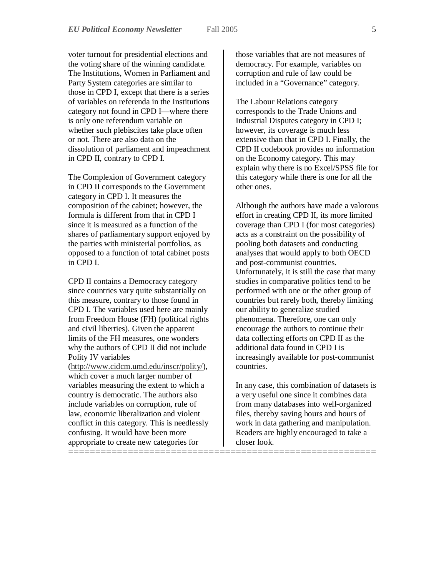voter turnout for presidential elections and the voting share of the winning candidate. The Institutions, Women in Parliament and Party System categories are similar to those in CPD I, except that there is a series of variables on referenda in the Institutions category not found in CPD I—where there is only one referendum variable on whether such plebiscites take place often or not. There are also data on the dissolution of parliament and impeachment in CPD II, contrary to CPD I.

The Complexion of Government category in CPD II corresponds to the Government category in CPD I. It measures the composition of the cabinet; however, the formula is different from that in CPD I since it is measured as a function of the shares of parliamentary support enjoyed by the parties with ministerial portfolios, as opposed to a function of total cabinet posts in CPD I.

CPD II contains a Democracy category since countries vary quite substantially on this measure, contrary to those found in CPD I. The variables used here are mainly from Freedom House (FH) (political rights and civil liberties). Given the apparent limits of the FH measures, one wonders why the authors of CPD II did not include Polity IV variables (http://www.cidcm.umd.edu/inscr/polity/), which cover a much larger number of variables measuring the extent to which a country is democratic. The authors also include variables on corruption, rule of law, economic liberalization and violent conflict in this category. This is needlessly confusing. It would have been more appropriate to create new categories for

those variables that are not measures of democracy. For example, variables on corruption and rule of law could be included in a "Governance" category.

The Labour Relations category corresponds to the Trade Unions and Industrial Disputes category in CPD I; however, its coverage is much less extensive than that in CPD I. Finally, the CPD II codebook provides no information on the Economy category. This may explain why there is no Excel/SPSS file for this category while there is one for all the other ones.

Although the authors have made a valorous effort in creating CPD II, its more limited coverage than CPD I (for most categories) acts as a constraint on the possibility of pooling both datasets and conducting analyses that would apply to both OECD and post-communist countries. Unfortunately, it is still the case that many studies in comparative politics tend to be performed with one or the other group of countries but rarely both, thereby limiting our ability to generalize studied phenomena. Therefore, one can only encourage the authors to continue their data collecting efforts on CPD II as the additional data found in CPD I is increasingly available for post-communist countries.

In any case, this combination of datasets is a very useful one since it combines data from many databases into well-organized files, thereby saving hours and hours of work in data gathering and manipulation. Readers are highly encouraged to take a closer look.

=========================================================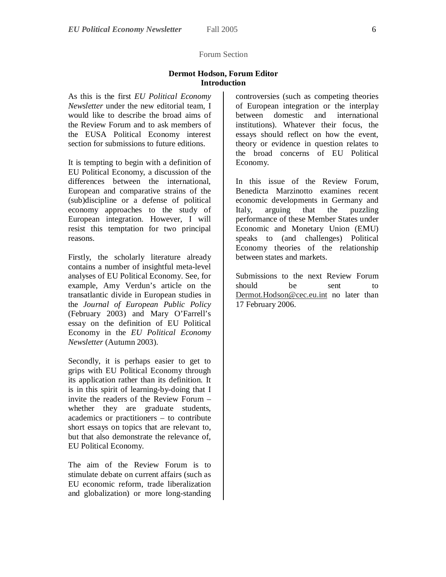### Forum Section

#### **Dermot Hodson, Forum Editor Introduction**

As this is the first *EU Political Economy Newsletter* under the new editorial team, I would like to describe the broad aims of the Review Forum and to ask members of the EUSA Political Economy interest section for submissions to future editions.

It is tempting to begin with a definition of EU Political Economy, a discussion of the differences between the international, European and comparative strains of the (sub)discipline or a defense of political economy approaches to the study of European integration. However, I will resist this temptation for two principal reasons.

Firstly, the scholarly literature already contains a number of insightful meta-level analyses of EU Political Economy. See, for example, Amy Verdun's article on the transatlantic divide in European studies in the *Journal of European Public Policy* (February 2003) and Mary O'Farrell's essay on the definition of EU Political Economy in the *EU Political Economy Newsletter* (Autumn 2003).

Secondly, it is perhaps easier to get to grips with EU Political Economy through its application rather than its definition. It is in this spirit of learning-by-doing that I invite the readers of the Review Forum – whether they are graduate students, academics or practitioners – to contribute short essays on topics that are relevant to, but that also demonstrate the relevance of, EU Political Economy.

The aim of the Review Forum is to stimulate debate on current affairs (such as EU economic reform, trade liberalization and globalization) or more long-standing

controversies (such as competing theories of European integration or the interplay between domestic and international institutions). Whatever their focus, the essays should reflect on how the event, theory or evidence in question relates to the broad concerns of EU Political Economy.

In this issue of the Review Forum, Benedicta Marzinotto examines recent economic developments in Germany and Italy, arguing that the puzzling performance of these Member States under Economic and Monetary Union (EMU) speaks to (and challenges) Political Economy theories of the relationship between states and markets.

Submissions to the next Review Forum should be sent to Dermot.Hodson@cec.eu.int no later than 17 February 2006.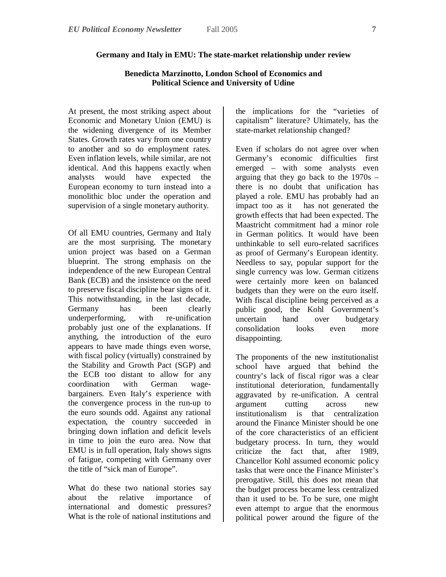#### **Germany and Italy in EMU: The state-market relationship under review**

## **Benedicta Marzinotto, London School of Economics and Political Science and University of Udine**

At present, the most striking aspect about Economic and Monetary Union (EMU) is the widening divergence of its Member States. Growth rates vary from one country to another and so do employment rates. Even inflation levels, while similar, are not identical. And this happens exactly when analysts would have expected the European economy to turn instead into a monolithic bloc under the operation and supervision of a single monetary authority.

Of all EMU countries, Germany and Italy are the most surprising. The monetary union project was based on a German blueprint. The strong emphasis on the independence of the new European Central Bank (ECB) and the insistence on the need to preserve fiscal discipline bear signs of it. This notwithstanding, in the last decade, Germany has been clearly underperforming, with re-unification probably just one of the explanations. If anything, the introduction of the euro appears to have made things even worse, with fiscal policy (virtually) constrained by the Stability and Growth Pact (SGP) and the ECB too distant to allow for any coordination with German wagebargainers. Even Italy's experience with the convergence process in the run-up to the euro sounds odd. Against any rational expectation, the country succeeded in bringing down inflation and deficit levels in time to join the euro area. Now that EMU is in full operation, Italy shows signs of fatigue, competing with Germany over the title of "sick man of Europe".

What do these two national stories say about the relative importance of international and domestic pressures? What is the role of national institutions and

the implications for the "varieties of capitalism" literature? Ultimately, has the state-market relationship changed?

Even if scholars do not agree over when Germany's economic difficulties first emerged – with some analysts even arguing that they go back to the 1970s – there is no doubt that unification has played a role. EMU has probably had an impact too as it has not generated the growth effects that had been expected. The Maastricht commitment had a minor role in German politics. It would have been unthinkable to sell euro-related sacrifices as proof of Germany's European identity. Needless to say, popular support for the single currency was low. German citizens were certainly more keen on balanced budgets than they were on the euro itself. With fiscal discipline being perceived as a public good, the Kohl Government's uncertain hand over budgetary consolidation looks even more disappointing.

The proponents of the new institutionalist school have argued that behind the country's lack of fiscal rigor was a clear institutional deterioration, fundamentally aggravated by re-unification. A central argument cutting across new institutionalism is that centralization around the Finance Minister should be one of the core characteristics of an efficient budgetary process. In turn, they would criticize the fact that, after 1989, Chancellor Kohl assumed economic policy tasks that were once the Finance Minister's prerogative. Still, this does not mean that the budget process became less centralized than it used to be. To be sure, one might even attempt to argue that the enormous political power around the figure of the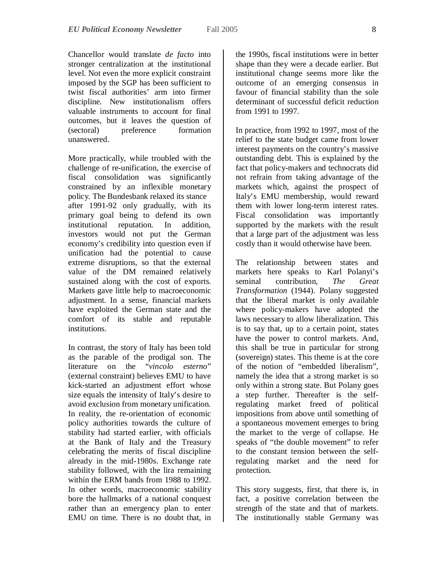Chancellor would translate *de facto* into stronger centralization at the institutional level. Not even the more explicit constraint imposed by the SGP has been sufficient to twist fiscal authorities' arm into firmer discipline. New institutionalism offers valuable instruments to account for final outcomes, but it leaves the question of (sectoral) preference formation unanswered.

More practically, while troubled with the challenge of re-unification, the exercise of fiscal consolidation was significantly constrained by an inflexible monetary policy. The Bundesbank relaxed its stance after 1991-92 only gradually, with its primary goal being to defend its own<br>institutional reputation. In addition, reputation. In addition, investors would not put the German economy's credibility into question even if unification had the potential to cause extreme disruptions, so that the external value of the DM remained relatively sustained along with the cost of exports. Markets gave little help to macroeconomic adjustment. In a sense, financial markets have exploited the German state and the comfort of its stable and reputable institutions.

In contrast, the story of Italy has been told as the parable of the prodigal son. The literature on the "*vincolo esterno*" (external constraint) believes EMU to have kick-started an adjustment effort whose size equals the intensity of Italy's desire to avoid exclusion from monetary unification. In reality, the re-orientation of economic policy authorities towards the culture of stability had started earlier, with officials at the Bank of Italy and the Treasury celebrating the merits of fiscal discipline already in the mid-1980s. Exchange rate stability followed, with the lira remaining within the ERM bands from 1988 to 1992. In other words, macroeconomic stability bore the hallmarks of a national conquest rather than an emergency plan to enter EMU on time. There is no doubt that, in

the 1990s, fiscal institutions were in better shape than they were a decade earlier. But institutional change seems more like the outcome of an emerging consensus in favour of financial stability than the sole determinant of successful deficit reduction from 1991 to 1997.

In practice, from 1992 to 1997, most of the relief to the state budget came from lower interest payments on the country's massive outstanding debt. This is explained by the fact that policy-makers and technocrats did not refrain from taking advantage of the markets which, against the prospect of Italy's EMU membership, would reward them with lower long-term interest rates. Fiscal consolidation was importantly supported by the markets with the result that a large part of the adjustment was less costly than it would otherwise have been.

The relationship between states and markets here speaks to Karl Polanyi's seminal contribution, *The Great Transformation* (1944). Polany suggested that the liberal market is only available where policy-makers have adopted the laws necessary to allow liberalization. This is to say that, up to a certain point, states have the power to control markets. And, this shall be true in particular for strong (sovereign) states. This theme is at the core of the notion of "embedded liberalism", namely the idea that a strong market is so only within a strong state. But Polany goes a step further. Thereafter is the selfregulating market freed of political impositions from above until something of a spontaneous movement emerges to bring the market to the verge of collapse. He speaks of "the double movement" to refer to the constant tension between the selfregulating market and the need for protection.

This story suggests, first, that there is, in fact, a positive correlation between the strength of the state and that of markets. The institutionally stable Germany was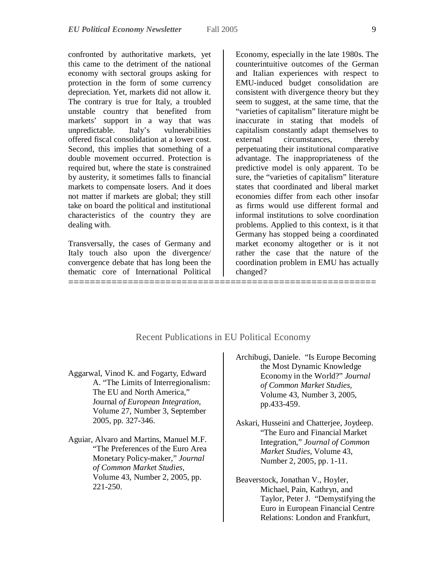confronted by authoritative markets, yet this came to the detriment of the national economy with sectoral groups asking for protection in the form of some currency depreciation. Yet, markets did not allow it. The contrary is true for Italy, a troubled unstable country that benefited from markets' support in a way that was unpredictable. Italy's vulnerabilities offered fiscal consolidation at a lower cost. Second, this implies that something of a double movement occurred. Protection is required but, where the state is constrained by austerity, it sometimes falls to financial markets to compensate losers. And it does not matter if markets are global; they still take on board the political and institutional characteristics of the country they are dealing with.

Transversally, the cases of Germany and Italy touch also upon the divergence/ convergence debate that has long been the thematic core of International Political =========================================================

Economy, especially in the late 1980s. The counterintuitive outcomes of the German and Italian experiences with respect to EMU-induced budget consolidation are consistent with divergence theory but they seem to suggest, at the same time, that the "varieties of capitalism" literature might be inaccurate in stating that models of capitalism constantly adapt themselves to external circumstances, thereby perpetuating their institutional comparative advantage. The inappropriateness of the predictive model is only apparent. To be sure, the "varieties of capitalism" literature states that coordinated and liberal market economies differ from each other insofar as firms would use different formal and informal institutions to solve coordination problems. Applied to this context, is it that Germany has stopped being a coordinated market economy altogether or is it not rather the case that the nature of the coordination problem in EMU has actually changed?

# Recent Publications in EU Political Economy

- Aggarwal, Vinod K. and Fogarty, Edward A. "The Limits of Interregionalism: The EU and North America," Journal *of European Integration*, Volume 27, Number 3, September 2005, pp. 327-346.
- Aguiar, Alvaro and Martins, Manuel M.F. "The Preferences of the Euro Area Monetary Policy-maker," *Journal of Common Market Studies,* Volume 43, Number 2, 2005, pp. 221-250.
- Archibugi, Daniele. "Is Europe Becoming the Most Dynamic Knowledge Economy in the World?" *Journal of Common Market Studies,* Volume 43, Number 3, 2005, pp.433-459.
- Askari, Husseini and Chatterjee, Joydeep. "The Euro and Financial Market Integration," *Journal of Common Market Studies,* Volume 43, Number 2, 2005, pp. 1-11.
- Beaverstock, Jonathan V., Hoyler, Michael, Pain, Kathryn, and Taylor, Peter J. "Demystifying the Euro in European Financial Centre Relations: London and Frankfurt,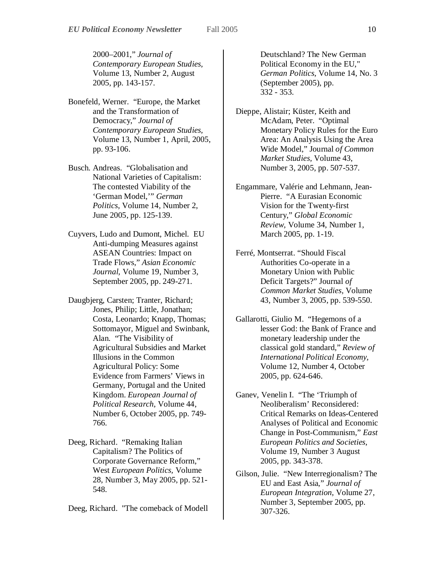2000–2001," *Journal of Contemporary European Studies,*  Volume 13, Number 2, August 2005, pp. 143-157.

- Bonefeld, Werner. "Europe, the Market and the Transformation of Democracy," *Journal of Contemporary European Studies,*  Volume 13, Number 1, April, 2005, pp. 93-106.
- Busch. Andreas. "Globalisation and National Varieties of Capitalism: The contested Viability of the 'German Model,'" *German Politics*, Volume 14, Number 2, June 2005, pp. 125-139.
- Cuyvers, Ludo and Dumont, Michel. EU Anti-dumping Measures against ASEAN Countries: Impact on Trade Flows," *Asian Economic Journal,* Volume 19, Number 3, September 2005, pp. 249-271.
- Daugbjerg, Carsten; Tranter, Richard; Jones, Philip; Little, Jonathan; Costa, Leonardo; Knapp, Thomas; Sottomayor, Miguel and Swinbank, Alan. "The Visibility of Agricultural Subsidies and Market Illusions in the Common Agricultural Policy: Some Evidence from Farmers' Views in Germany, Portugal and the United Kingdom. *European Journal of Political Research*, Volume 44, Number 6, October 2005, pp. 749- 766.
- Deeg, Richard. "Remaking Italian Capitalism? The Politics of Corporate Governance Reform," West *European Politics,* Volume 28, Number 3, May 2005, pp. 521- 548.

Deeg, Richard. "The comeback of Modell

Deutschland? The New German Political Economy in the EU," *German Politics*, Volume 14, No. 3 (September 2005), pp. 332 - 353.

- Dieppe, Alistair; Küster, Keith and McAdam, Peter. "Optimal Monetary Policy Rules for the Euro Area: An Analysis Using the Area Wide Model," Journal *of Common Market Studies,* Volume 43, Number 3, 2005, pp. 507-537.
- Engammare, Valérie and Lehmann, Jean-Pierre. "A Eurasian Economic Vision for the Twenty-first Century," *Global Economic Review,* Volume 34, Number 1, March 2005, pp. 1-19.
- Ferré, Montserrat. "Should Fiscal Authorities Co-operate in a Monetary Union with Public Deficit Targets?" Journal *of Common Market Studies,* Volume 43, Number 3, 2005, pp. 539-550.
- Gallarotti, Giulio M. "Hegemons of a lesser God: the Bank of France and monetary leadership under the classical gold standard," *Review of International Political Economy,* Volume 12, Number 4, October 2005, pp. 624-646.
- Ganev, Venelin I. "The 'Triumph of Neoliberalism' Reconsidered: Critical Remarks on Ideas-Centered Analyses of Political and Economic Change in Post-Communism," *East European Politics and Societies*, Volume 19, Number 3 August 2005, pp. 343-378.
- Gilson, Julie. "New Interregionalism? The EU and East Asia," *Journal of European Integration*, Volume 27, Number 3, September 2005, pp. 307-326.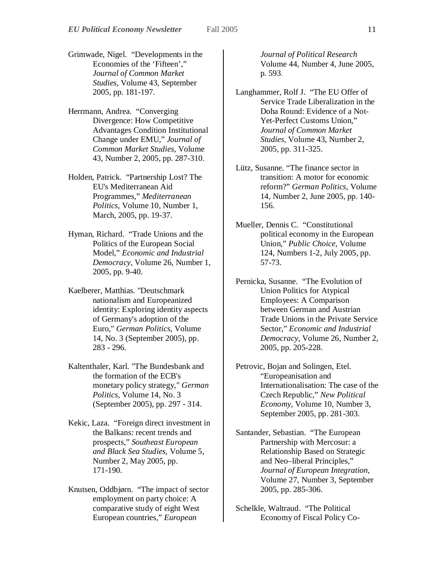- Grimwade, Nigel. "Developments in the Economies of the 'Fifteen'," *Journal of Common Market Studies,* Volume 43, September 2005, pp. 181-197.
- Herrmann, Andrea. "Converging Divergence: How Competitive Advantages Condition Institutional Change under EMU," *Journal of Common Market Studies,* Volume 43, Number 2, 2005, pp. 287-310.
- Holden, Patrick. "Partnership Lost? The EU's Mediterranean Aid Programmes," *Mediterranean Politics,* Volume 10, Number 1, March, 2005, pp. 19-37.
- Hyman, Richard. "Trade Unions and the Politics of the European Social Model," *Economic and Industrial Democracy*, Volume 26, Number 1, 2005, pp. 9-40.
- Kaelberer, Matthias. "Deutschmark nationalism and Europeanized identity: Exploring identity aspects of Germany's adoption of the Euro," *German Politics*, Volume 14, No. 3 (September 2005), pp. 283 - 296.
- Kaltenthaler, Karl. "The Bundesbank and the formation of the ECB's monetary policy strategy," *German Politics*, Volume 14, No. 3 (September 2005), pp. 297 - 314.
- Kekic, Laza. "Foreign direct investment in the Balkans: recent trends and prospects," *Southeast European and Black Sea Studies*, Volume 5, Number 2, May 2005, pp. 171-190.
- Knutsen, Oddbjørn. "The impact of sector employment on party choice: A comparative study of eight West European countries," *European*

*Journal of Political Research* Volume 44, Number 4, June 2005, p. 593.

- Langhammer, Rolf J. "The EU Offer of Service Trade Liberalization in the Doha Round: Evidence of a Not-Yet-Perfect Customs Union," *Journal of Common Market Studies,* Volume 43, Number 2, 2005, pp. 311-325.
- Lütz, Susanne. "The finance sector in transition: A motor for economic reform?" *German Politics*, Volume 14, Number 2, June 2005, pp. 140- 156.
- Mueller, Dennis C. "Constitutional political economy in the European Union," *Public Choice,* Volume 124, Numbers 1-2, July 2005, pp. 57-73.
- Pernicka, Susanne. "The Evolution of Union Politics for Atypical Employees: A Comparison between German and Austrian Trade Unions in the Private Service Sector," *Economic and Industrial Democracy,* Volume 26, Number 2, 2005, pp. 205-228.
- Petrovic, Bojan and Solingen, Etel. "Europeanisation and Internationalisation: The case of the Czech Republic," *New Political Economy*, Volume 10, Number 3, September 2005, pp. 281-303.
- Santander, Sebastian. "The European Partnership with Mercosur: a Relationship Based on Strategic and Neo–liberal Principles," *Journal of European Integration*, Volume 27, Number 3, September 2005, pp. 285-306.
- Schelkle, Waltraud. "The Political Economy of Fiscal Policy Co-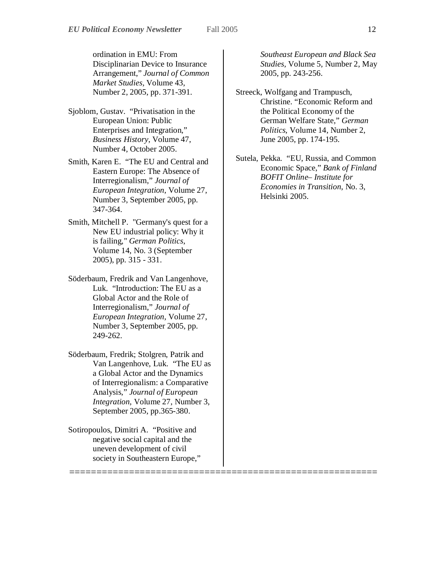ordination in EMU: From Disciplinarian Device to Insurance Arrangement," *Journal of Common Market Studies,* Volume 43, Number 2, 2005, pp. 371-391.

- Sjoblom, Gustav. "Privatisation in the European Union: Public Enterprises and Integration," *Business History*, Volume 47, Number 4, October 2005.
- Smith, Karen E. "The EU and Central and Eastern Europe: The Absence of Interregionalism," *Journal of European Integration*, Volume 27, Number 3, September 2005, pp. 347-364.
- Smith, Mitchell P. "Germany's quest for a New EU industrial policy: Why it is failing," *German Politics*, Volume 14, No. 3 (September 2005), pp. 315 - 331.
- Söderbaum, Fredrik and Van Langenhove, Luk. "Introduction: The EU as a Global Actor and the Role of Interregionalism," *Journal of European Integration*, Volume 27, Number 3, September 2005, pp. 249-262.
- Söderbaum, Fredrik; Stolgren, Patrik and Van Langenhove, Luk. "The EU as a Global Actor and the Dynamics of Interregionalism: a Comparative Analysis," *Journal of European Integration*, Volume 27, Number 3, September 2005, pp.365-380.
- Sotiropoulos, Dimitri A. "Positive and negative social capital and the uneven development of civil society in Southeastern Europe,"

=========================================================

*Southeast European and Black Sea Studies,* Volume 5, Number 2, May 2005, pp. 243-256.

- Streeck, Wolfgang and Trampusch, Christine. "Economic Reform and the Political Economy of the German Welfare State," *German Politics*, Volume 14, Number 2, June 2005, pp. 174-195.
- Sutela, Pekka. "EU, Russia, and Common Economic Space," *Bank of Finland BOFIT Online– Institute for Economies in Transition*, No. 3, Helsinki 2005.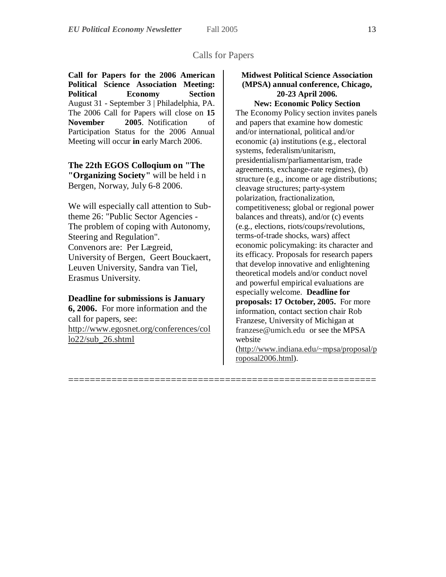# Calls for Papers

=========================================================

**Call for Papers for the 2006 American Political Science Association Meeting: Political Economy Section** August 31 - September 3 | Philadelphia, PA. The 2006 Call for Papers will close on **15 November 2005**. Notification of Participation Status for the 2006 Annual Meeting will occur **in** early March 2006.

**The 22th EGOS Colloqium on "The "Organizing Society"** will be held i n Bergen, Norway, July 6-8 2006.

We will especially call attention to Subtheme 26: "Public Sector Agencies - The problem of coping with Autonomy, Steering and Regulation". Convenors are: Per Lægreid, University of Bergen, Geert Bouckaert, Leuven University, Sandra van Tiel, Erasmus University.

**Deadline for submissions is January 6, 2006.** For more information and the call for papers, see:

http://www.egosnet.org/conferences/col lo22/sub\_26.shtml

### **Midwest Political Science Association (MPSA) annual conference, Chicago, 20-23 April 2006. New: Economic Policy Section**

The Economy Policy section invites panels and papers that examine how domestic and/or international, political and/or economic (a) institutions (e.g., electoral systems, federalism/unitarism, presidentialism/parliamentarism, trade agreements, exchange-rate regimes), (b) structure (e.g., income or age distributions; cleavage structures; party-system polarization, fractionalization, competitiveness; global or regional power balances and threats), and/or (c) events (e.g., elections, riots/coups/revolutions, terms-of-trade shocks, wars) affect economic policymaking: its character and its efficacy. Proposals for research papers that develop innovative and enlightening theoretical models and/or conduct novel and powerful empirical evaluations are especially welcome. **Deadline for proposals: 17 October, 2005.** For more information, contact section chair Rob Franzese, University of Michigan at franzese@umich.edu or see the MPSA website

(http://www.indiana.edu/~mpsa/proposal/p roposal2006.html).